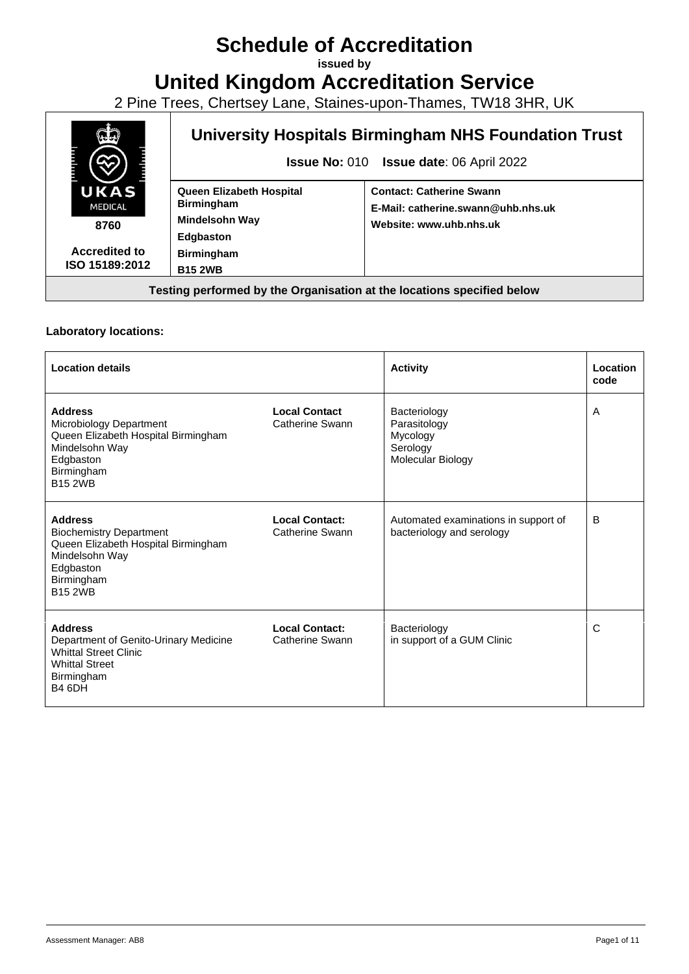# **Schedule of Accreditation**

**issued by**

## **United Kingdom Accreditation Service**

2 Pine Trees, Chertsey Lane, Staines-upon-Thames, TW18 3HR, UK



#### **Laboratory locations:**

| <b>Location details</b>                                                                                                                                |                                          | <b>Activity</b>                                                           | Location<br>code |
|--------------------------------------------------------------------------------------------------------------------------------------------------------|------------------------------------------|---------------------------------------------------------------------------|------------------|
| <b>Address</b><br>Microbiology Department<br>Queen Elizabeth Hospital Birmingham<br>Mindelsohn Way<br>Edgbaston<br>Birmingham<br><b>B15 2WB</b>        | <b>Local Contact</b><br>Catherine Swann  | Bacteriology<br>Parasitology<br>Mycology<br>Serology<br>Molecular Biology | A                |
| <b>Address</b><br><b>Biochemistry Department</b><br>Queen Elizabeth Hospital Birmingham<br>Mindelsohn Way<br>Edgbaston<br>Birmingham<br><b>B15 2WB</b> | <b>Local Contact:</b><br>Catherine Swann | Automated examinations in support of<br>bacteriology and serology         | B                |
| <b>Address</b><br>Department of Genito-Urinary Medicine<br><b>Whittal Street Clinic</b><br><b>Whittal Street</b><br>Birmingham<br>B <sub>4</sub> 6DH   | <b>Local Contact:</b><br>Catherine Swann | Bacteriology<br>in support of a GUM Clinic                                | C                |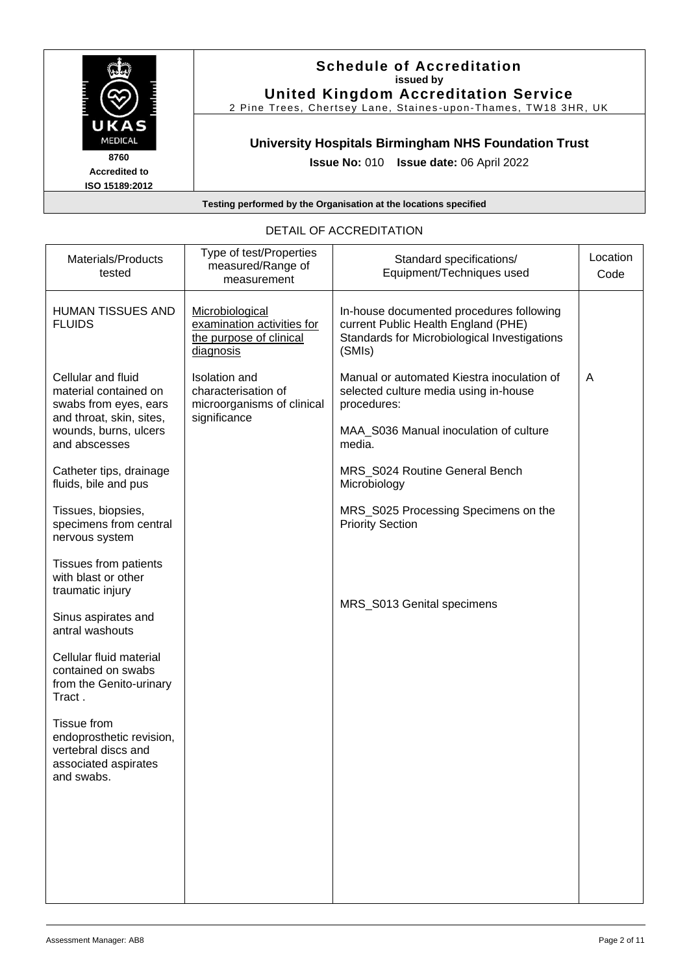

**ISO 15189:2012**

#### **Schedule of Accreditation issued by United Kingdom Accreditation Service**

2 Pine Trees, Chertsey Lane, Staines -upon -Thames, TW18 3HR, UK

## **University Hospitals Birmingham NHS Foundation Trust**

**Issue No:** 010 **Issue date:** 06 April 2022

**Testing performed by the Organisation at the locations specified**

| Materials/Products<br>tested                                                                                | Type of test/Properties<br>measured/Range of<br>measurement                               | Standard specifications/<br>Equipment/Techniques used                                                                                     | Location<br>Code |
|-------------------------------------------------------------------------------------------------------------|-------------------------------------------------------------------------------------------|-------------------------------------------------------------------------------------------------------------------------------------------|------------------|
| <b>HUMAN TISSUES AND</b><br><b>FLUIDS</b>                                                                   | Microbiological<br>examination activities for<br>the purpose of clinical<br>diagnosis     | In-house documented procedures following<br>current Public Health England (PHE)<br>Standards for Microbiological Investigations<br>(SMIs) |                  |
| Cellular and fluid<br>material contained on<br>swabs from eyes, ears<br>and throat, skin, sites,            | <b>Isolation</b> and<br>characterisation of<br>microorganisms of clinical<br>significance | Manual or automated Kiestra inoculation of<br>selected culture media using in-house<br>procedures:                                        | A                |
| wounds, burns, ulcers<br>and abscesses                                                                      |                                                                                           | MAA_S036 Manual inoculation of culture<br>media.                                                                                          |                  |
| Catheter tips, drainage<br>fluids, bile and pus                                                             |                                                                                           | MRS_S024 Routine General Bench<br>Microbiology                                                                                            |                  |
| Tissues, biopsies,<br>specimens from central<br>nervous system                                              |                                                                                           | MRS_S025 Processing Specimens on the<br><b>Priority Section</b>                                                                           |                  |
| Tissues from patients<br>with blast or other<br>traumatic injury                                            |                                                                                           |                                                                                                                                           |                  |
| Sinus aspirates and<br>antral washouts                                                                      |                                                                                           | MRS_S013 Genital specimens                                                                                                                |                  |
| Cellular fluid material<br>contained on swabs<br>from the Genito-urinary<br>Tract.                          |                                                                                           |                                                                                                                                           |                  |
| <b>Tissue from</b><br>endoprosthetic revision,<br>vertebral discs and<br>associated aspirates<br>and swabs. |                                                                                           |                                                                                                                                           |                  |
|                                                                                                             |                                                                                           |                                                                                                                                           |                  |
|                                                                                                             |                                                                                           |                                                                                                                                           |                  |
|                                                                                                             |                                                                                           |                                                                                                                                           |                  |

#### DETAIL OF ACCREDITATION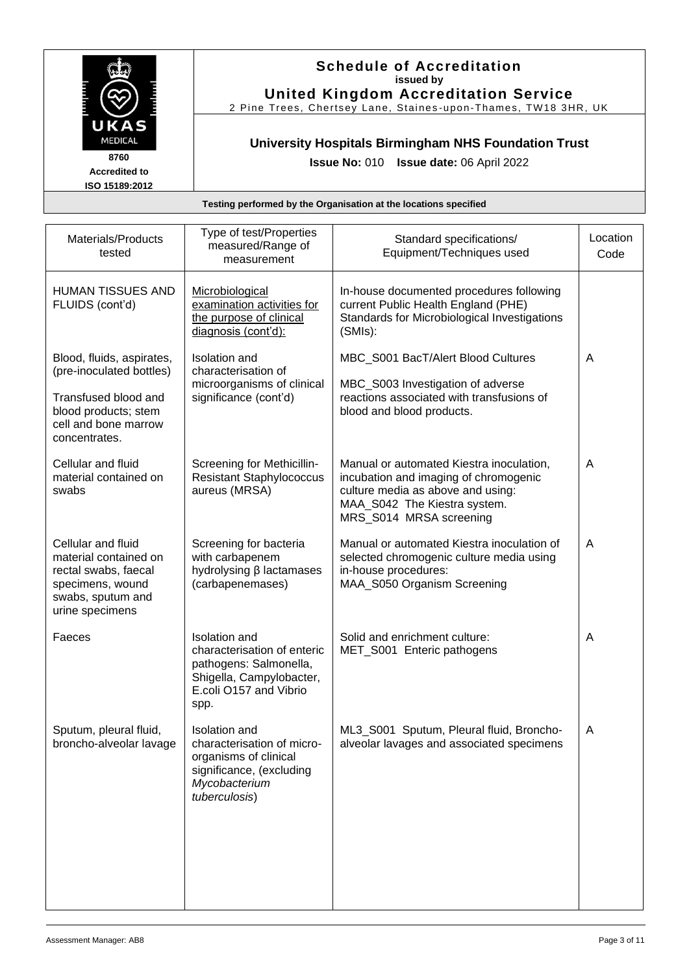

#### **Schedule of Accreditation issued by United Kingdom Accreditation Service**

2 Pine Trees, Chertsey Lane, Staines -upon -Thames, TW18 3HR, UK

## **University Hospitals Birmingham NHS Foundation Trust**

**Issue No:** 010 **Issue date:** 06 April 2022

| Materials/Products<br>tested                                                                                                    | Type of test/Properties<br>measured/Range of<br>measurement                                                                                 | Standard specifications/<br>Equipment/Techniques used                                                                                                                             | Location<br>Code |
|---------------------------------------------------------------------------------------------------------------------------------|---------------------------------------------------------------------------------------------------------------------------------------------|-----------------------------------------------------------------------------------------------------------------------------------------------------------------------------------|------------------|
| <b>HUMAN TISSUES AND</b><br>FLUIDS (cont'd)                                                                                     | Microbiological<br>examination activities for<br>the purpose of clinical<br>diagnosis (cont'd):                                             | In-house documented procedures following<br>current Public Health England (PHE)<br>Standards for Microbiological Investigations<br>(SMIs):                                        |                  |
| Blood, fluids, aspirates,<br>(pre-inoculated bottles)                                                                           | <b>Isolation</b> and<br>characterisation of<br>microorganisms of clinical                                                                   | MBC_S001 BacT/Alert Blood Cultures<br>MBC_S003 Investigation of adverse                                                                                                           | A                |
| Transfused blood and<br>blood products; stem<br>cell and bone marrow<br>concentrates.                                           | significance (cont'd)                                                                                                                       | reactions associated with transfusions of<br>blood and blood products.                                                                                                            |                  |
| Cellular and fluid<br>material contained on<br>swabs                                                                            | Screening for Methicillin-<br><b>Resistant Staphylococcus</b><br>aureus (MRSA)                                                              | Manual or automated Kiestra inoculation,<br>incubation and imaging of chromogenic<br>culture media as above and using:<br>MAA_S042 The Kiestra system.<br>MRS_S014 MRSA screening | A                |
| Cellular and fluid<br>material contained on<br>rectal swabs, faecal<br>specimens, wound<br>swabs, sputum and<br>urine specimens | Screening for bacteria<br>with carbapenem<br>hydrolysing β lactamases<br>(carbapenemases)                                                   | Manual or automated Kiestra inoculation of<br>selected chromogenic culture media using<br>in-house procedures:<br>MAA_S050 Organism Screening                                     | A                |
| Faeces                                                                                                                          | <b>Isolation</b> and<br>characterisation of enteric<br>pathogens: Salmonella,<br>Shigella, Campylobacter,<br>E.coli O157 and Vibrio<br>spp. | Solid and enrichment culture:<br>MET_S001 Enteric pathogens                                                                                                                       | Α                |
| Sputum, pleural fluid,<br>broncho-alveolar lavage                                                                               | Isolation and<br>characterisation of micro-<br>organisms of clinical<br>significance, (excluding<br>Mycobacterium<br>tuberculosis)          | ML3_S001 Sputum, Pleural fluid, Broncho-<br>alveolar lavages and associated specimens                                                                                             | A                |
|                                                                                                                                 |                                                                                                                                             |                                                                                                                                                                                   |                  |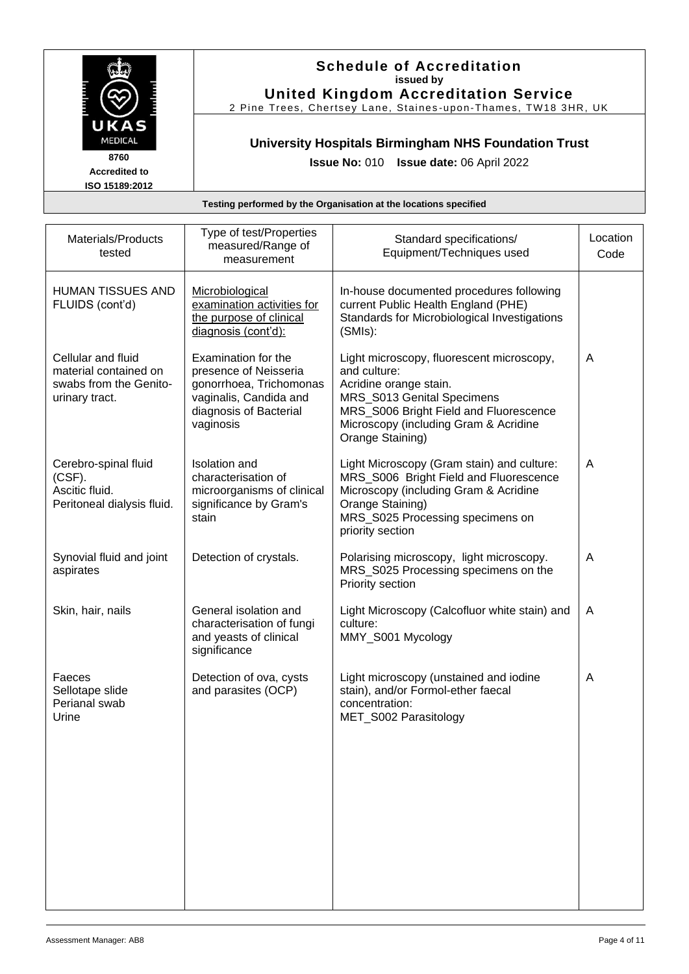

#### **Schedule of Accreditation issued by United Kingdom Accreditation Service**

2 Pine Trees, Chertsey Lane, Staines -upon -Thames, TW18 3HR, UK

## **University Hospitals Birmingham NHS Foundation Trust**

**Issue No:** 010 **Issue date:** 06 April 2022

| Type of test/Properties<br>measured/Range of<br>measurement                                                                              | Standard specifications/<br>Equipment/Techniques used                                                                                                                                                                    | Location<br>Code |
|------------------------------------------------------------------------------------------------------------------------------------------|--------------------------------------------------------------------------------------------------------------------------------------------------------------------------------------------------------------------------|------------------|
| Microbiological<br>examination activities for<br>the purpose of clinical<br>diagnosis (cont'd):                                          | In-house documented procedures following<br>current Public Health England (PHE)<br>Standards for Microbiological Investigations<br>(SMIs):                                                                               |                  |
| Examination for the<br>presence of Neisseria<br>gonorrhoea, Trichomonas<br>vaginalis, Candida and<br>diagnosis of Bacterial<br>vaginosis | Light microscopy, fluorescent microscopy,<br>and culture:<br>Acridine orange stain.<br>MRS_S013 Genital Specimens<br>MRS_S006 Bright Field and Fluorescence<br>Microscopy (including Gram & Acridine<br>Orange Staining) | A                |
| <b>Isolation</b> and<br>characterisation of<br>microorganisms of clinical<br>significance by Gram's<br>stain                             | Light Microscopy (Gram stain) and culture:<br>MRS_S006 Bright Field and Fluorescence<br>Microscopy (including Gram & Acridine<br>Orange Staining)<br>MRS_S025 Processing specimens on<br>priority section                | A                |
| Detection of crystals.                                                                                                                   | Polarising microscopy, light microscopy.<br>MRS_S025 Processing specimens on the<br>Priority section                                                                                                                     | A                |
| General isolation and<br>characterisation of fungi<br>and yeasts of clinical<br>significance                                             | Light Microscopy (Calcofluor white stain) and<br>culture:<br>MMY_S001 Mycology                                                                                                                                           | A                |
| Detection of ova, cysts<br>and parasites (OCP)                                                                                           | Light microscopy (unstained and iodine<br>stain), and/or Formol-ether faecal<br>concentration:<br>MET_S002 Parasitology                                                                                                  | A                |
|                                                                                                                                          |                                                                                                                                                                                                                          |                  |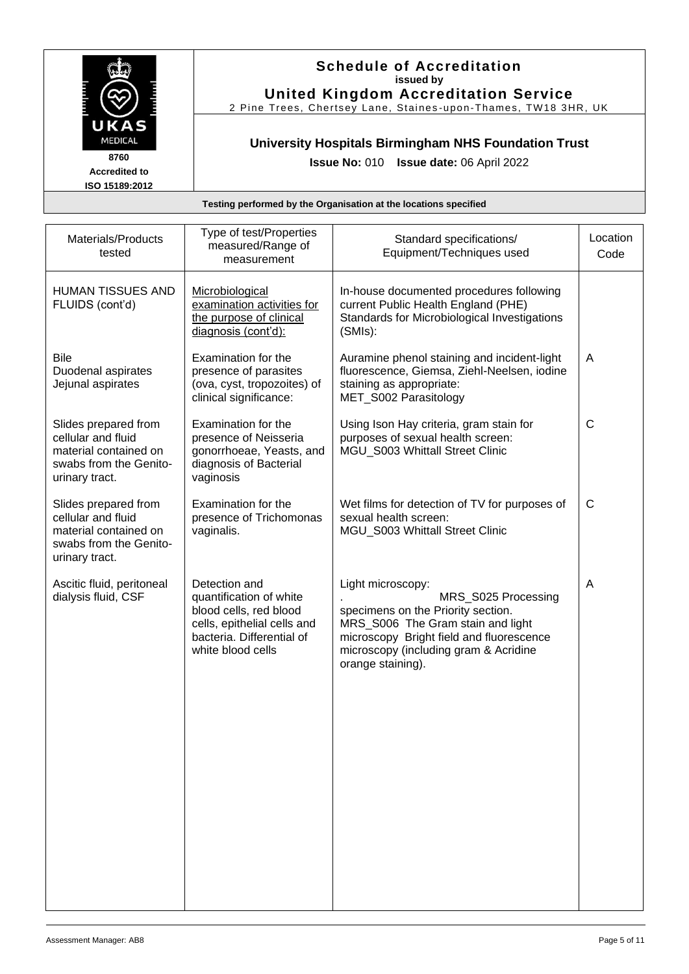

#### **Schedule of Accreditation issued by United Kingdom Accreditation Service**

2 Pine Trees, Chertsey Lane, Staines -upon -Thames, TW18 3HR, UK

## **University Hospitals Birmingham NHS Foundation Trust**

**Issue No:** 010 **Issue date:** 06 April 2022

| Type of test/Properties<br>measured/Range of<br>measurement                                                                                         | Standard specifications/<br>Equipment/Techniques used                                                                                                                                                                         | Location<br>Code |
|-----------------------------------------------------------------------------------------------------------------------------------------------------|-------------------------------------------------------------------------------------------------------------------------------------------------------------------------------------------------------------------------------|------------------|
| Microbiological<br>examination activities for<br>the purpose of clinical<br>diagnosis (cont'd):                                                     | In-house documented procedures following<br>current Public Health England (PHE)<br>Standards for Microbiological Investigations<br>(SMIs):                                                                                    |                  |
| Examination for the<br>presence of parasites<br>(ova, cyst, tropozoites) of<br>clinical significance:                                               | Auramine phenol staining and incident-light<br>fluorescence, Giemsa, Ziehl-Neelsen, iodine<br>staining as appropriate:<br>MET_S002 Parasitology                                                                               | A                |
| Examination for the<br>presence of Neisseria<br>gonorrhoeae, Yeasts, and<br>diagnosis of Bacterial<br>vaginosis                                     | Using Ison Hay criteria, gram stain for<br>purposes of sexual health screen:<br>MGU S003 Whittall Street Clinic                                                                                                               | $\mathsf{C}$     |
| Examination for the<br>presence of Trichomonas<br>vaginalis.                                                                                        | Wet films for detection of TV for purposes of<br>sexual health screen:<br>MGU_S003 Whittall Street Clinic                                                                                                                     | $\mathsf{C}$     |
| Detection and<br>quantification of white<br>blood cells, red blood<br>cells, epithelial cells and<br>bacteria. Differential of<br>white blood cells | Light microscopy:<br>MRS_S025 Processing<br>specimens on the Priority section.<br>MRS_S006 The Gram stain and light<br>microscopy Bright field and fluorescence<br>microscopy (including gram & Acridine<br>orange staining). | A                |
|                                                                                                                                                     |                                                                                                                                                                                                                               |                  |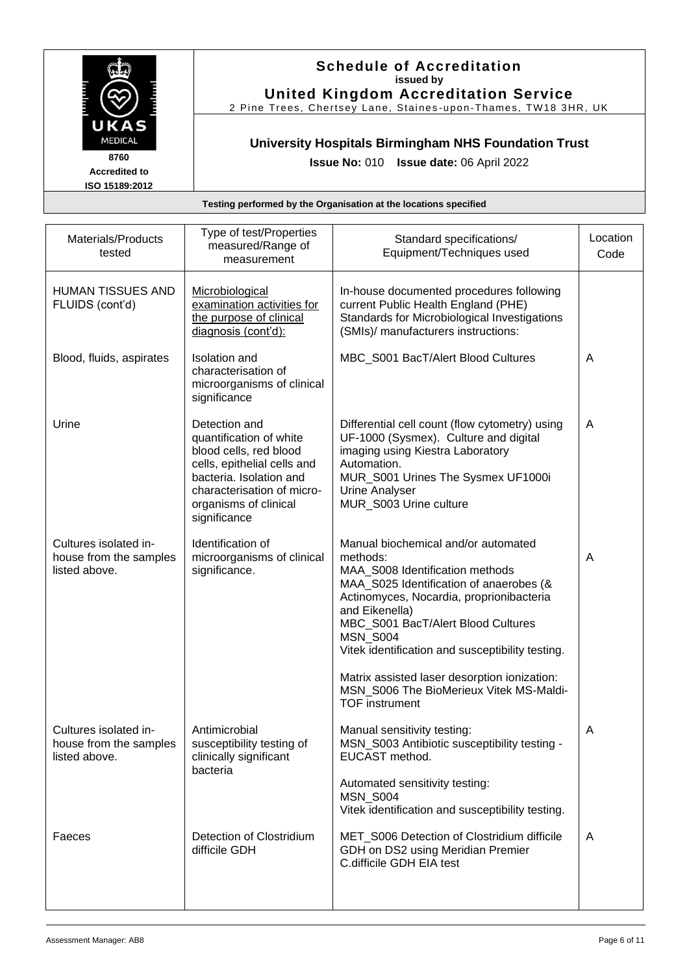

#### **Schedule of Accreditation issued by United Kingdom Accreditation Service**

2 Pine Trees, Chertsey Lane, Staines -upon -Thames, TW18 3HR, UK

## **University Hospitals Birmingham NHS Foundation Trust**

**Issue No:** 010 **Issue date:** 06 April 2022

| Materials/Products<br>tested                                     | Type of test/Properties<br>measured/Range of<br>measurement                                                                                                                                         | Standard specifications/<br>Equipment/Techniques used                                                                                                                                                                                                                                                                                                                                                                        | Location<br>Code |
|------------------------------------------------------------------|-----------------------------------------------------------------------------------------------------------------------------------------------------------------------------------------------------|------------------------------------------------------------------------------------------------------------------------------------------------------------------------------------------------------------------------------------------------------------------------------------------------------------------------------------------------------------------------------------------------------------------------------|------------------|
| <b>HUMAN TISSUES AND</b><br>FLUIDS (cont'd)                      | Microbiological<br>examination activities for<br>the purpose of clinical<br>diagnosis (cont'd):                                                                                                     | In-house documented procedures following<br>current Public Health England (PHE)<br>Standards for Microbiological Investigations<br>(SMIs)/ manufacturers instructions:                                                                                                                                                                                                                                                       |                  |
| Blood, fluids, aspirates                                         | <b>Isolation</b> and<br>characterisation of<br>microorganisms of clinical<br>significance                                                                                                           | MBC_S001 BacT/Alert Blood Cultures                                                                                                                                                                                                                                                                                                                                                                                           | A                |
| Urine                                                            | Detection and<br>quantification of white<br>blood cells, red blood<br>cells, epithelial cells and<br>bacteria. Isolation and<br>characterisation of micro-<br>organisms of clinical<br>significance | Differential cell count (flow cytometry) using<br>UF-1000 (Sysmex). Culture and digital<br>imaging using Kiestra Laboratory<br>Automation.<br>MUR_S001 Urines The Sysmex UF1000i<br><b>Urine Analyser</b><br>MUR_S003 Urine culture                                                                                                                                                                                          | A                |
| Cultures isolated in-<br>house from the samples<br>listed above. | Identification of<br>microorganisms of clinical<br>significance.                                                                                                                                    | Manual biochemical and/or automated<br>methods:<br>MAA_S008 Identification methods<br>MAA_S025 Identification of anaerobes (&<br>Actinomyces, Nocardia, proprionibacteria<br>and Eikenella)<br>MBC_S001 BacT/Alert Blood Cultures<br><b>MSN S004</b><br>Vitek identification and susceptibility testing.<br>Matrix assisted laser desorption ionization:<br>MSN S006 The BioMerieux Vitek MS-Maldi-<br><b>TOF</b> instrument | A                |
| Cultures isolated in-<br>house from the samples<br>listed above. | Antimicrobial<br>susceptibility testing of<br>clinically significant<br>bacteria                                                                                                                    | Manual sensitivity testing:<br>MSN_S003 Antibiotic susceptibility testing -<br>EUCAST method.<br>Automated sensitivity testing:<br><b>MSN_S004</b><br>Vitek identification and susceptibility testing.                                                                                                                                                                                                                       | A                |
| Faeces                                                           | Detection of Clostridium<br>difficile GDH                                                                                                                                                           | MET_S006 Detection of Clostridium difficile<br>GDH on DS2 using Meridian Premier<br>C.difficile GDH EIA test                                                                                                                                                                                                                                                                                                                 | A                |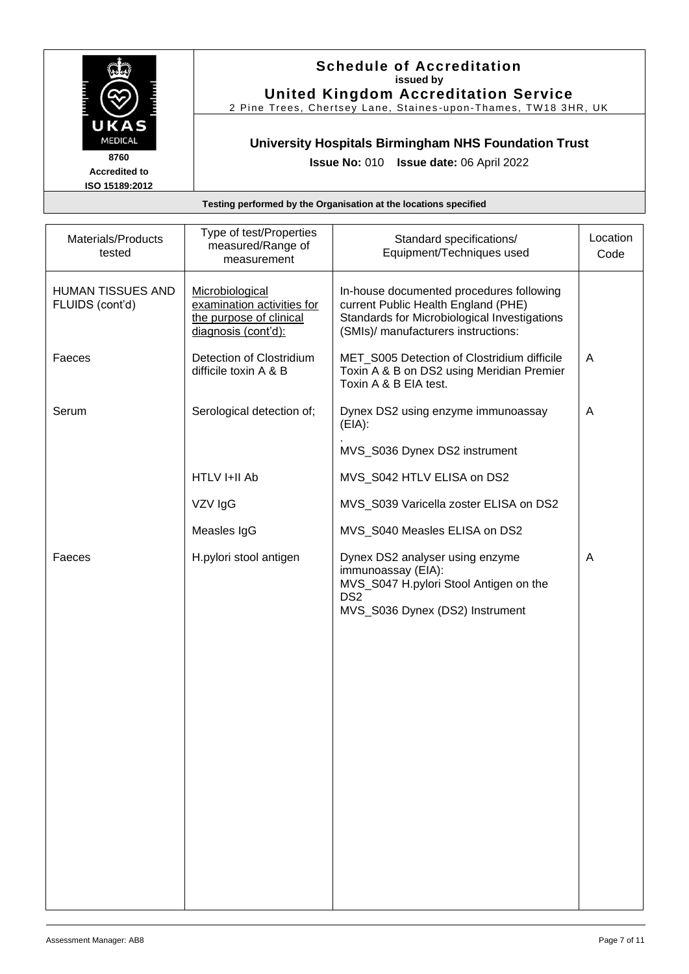

#### **Schedule of Accreditation issued by United Kingdom Accreditation Service**

2 Pine Trees, Chertsey Lane, Staines -upon -Thames, TW18 3HR, UK

## **University Hospitals Birmingham NHS Foundation Trust**

**Issue No:** 010 **Issue date:** 06 April 2022

| Materials/Products<br>tested         | Type of test/Properties<br>measured/Range of<br>measurement                                     | Standard specifications/<br>Equipment/Techniques used                                                                                                                  | Location<br>Code |
|--------------------------------------|-------------------------------------------------------------------------------------------------|------------------------------------------------------------------------------------------------------------------------------------------------------------------------|------------------|
| HUMAN TISSUES AND<br>FLUIDS (cont'd) | Microbiological<br>examination activities for<br>the purpose of clinical<br>diagnosis (cont'd): | In-house documented procedures following<br>current Public Health England (PHE)<br>Standards for Microbiological Investigations<br>(SMIs)/ manufacturers instructions: |                  |
| Faeces                               | Detection of Clostridium<br>difficile toxin A & B                                               | MET_S005 Detection of Clostridium difficile<br>Toxin A & B on DS2 using Meridian Premier<br>Toxin A & B EIA test.                                                      | A                |
| Serum                                | Serological detection of;                                                                       | Dynex DS2 using enzyme immunoassay<br>(EIA):                                                                                                                           | A                |
|                                      |                                                                                                 | MVS_S036 Dynex DS2 instrument                                                                                                                                          |                  |
|                                      | HTLV I+II Ab                                                                                    | MVS_S042 HTLV ELISA on DS2                                                                                                                                             |                  |
|                                      | VZV IgG                                                                                         | MVS_S039 Varicella zoster ELISA on DS2                                                                                                                                 |                  |
|                                      | Measles IgG                                                                                     | MVS_S040 Measles ELISA on DS2                                                                                                                                          |                  |
| Faeces                               | H.pylori stool antigen                                                                          | Dynex DS2 analyser using enzyme<br>immunoassay (EIA):<br>MVS_S047 H.pylori Stool Antigen on the<br>DS <sub>2</sub><br>MVS_S036 Dynex (DS2) Instrument                  | A                |
|                                      |                                                                                                 |                                                                                                                                                                        |                  |
|                                      |                                                                                                 |                                                                                                                                                                        |                  |
|                                      |                                                                                                 |                                                                                                                                                                        |                  |
|                                      |                                                                                                 |                                                                                                                                                                        |                  |
|                                      |                                                                                                 |                                                                                                                                                                        |                  |
|                                      |                                                                                                 |                                                                                                                                                                        |                  |
|                                      |                                                                                                 |                                                                                                                                                                        |                  |
|                                      |                                                                                                 |                                                                                                                                                                        |                  |
|                                      |                                                                                                 |                                                                                                                                                                        |                  |
|                                      |                                                                                                 |                                                                                                                                                                        |                  |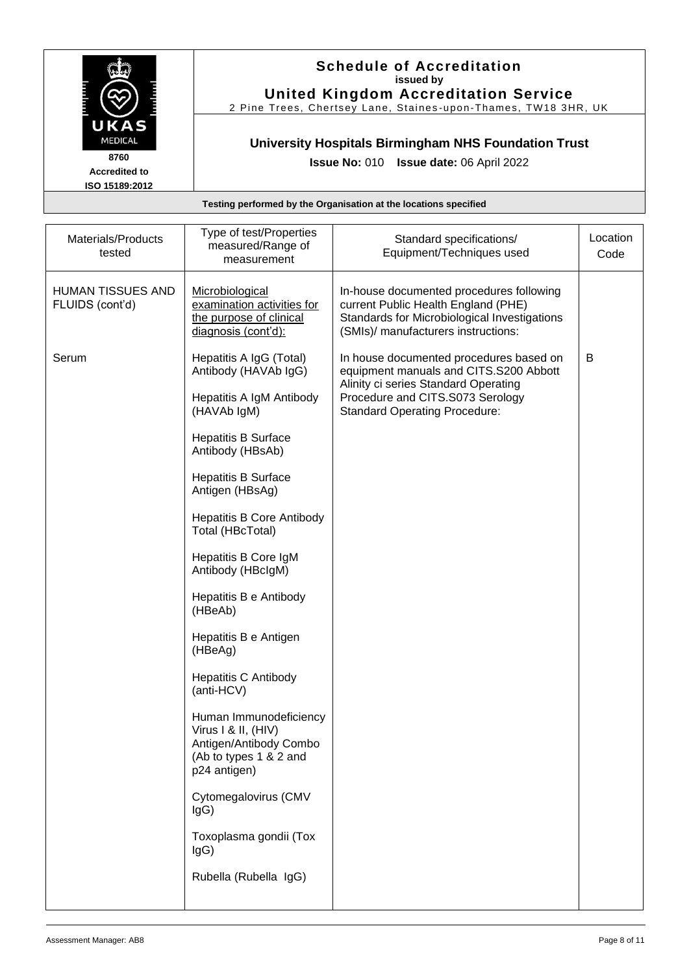

#### **Schedule of Accreditation issued by United Kingdom Accreditation Service**

2 Pine Trees, Chertsey Lane, Staines -upon -Thames, TW18 3HR, UK

## **University Hospitals Birmingham NHS Foundation Trust**

**Issue No:** 010 **Issue date:** 06 April 2022

| Materials/Products<br>tested                | Type of test/Properties<br>measured/Range of<br>measurement                                                       | Standard specifications/<br>Equipment/Techniques used                                                                                                                  | Location<br>Code |
|---------------------------------------------|-------------------------------------------------------------------------------------------------------------------|------------------------------------------------------------------------------------------------------------------------------------------------------------------------|------------------|
| <b>HUMAN TISSUES AND</b><br>FLUIDS (cont'd) | Microbiological<br>examination activities for<br>the purpose of clinical<br>diagnosis (cont'd):                   | In-house documented procedures following<br>current Public Health England (PHE)<br>Standards for Microbiological Investigations<br>(SMIs)/ manufacturers instructions: |                  |
| Serum                                       | Hepatitis A IgG (Total)<br>Antibody (HAVAb IgG)                                                                   | In house documented procedures based on<br>equipment manuals and CITS.S200 Abbott<br>Alinity ci series Standard Operating                                              | B                |
|                                             | Hepatitis A IgM Antibody<br>(HAVAb IgM)                                                                           | Procedure and CITS.S073 Serology<br><b>Standard Operating Procedure:</b>                                                                                               |                  |
|                                             | <b>Hepatitis B Surface</b><br>Antibody (HBsAb)                                                                    |                                                                                                                                                                        |                  |
|                                             | <b>Hepatitis B Surface</b><br>Antigen (HBsAg)                                                                     |                                                                                                                                                                        |                  |
|                                             | <b>Hepatitis B Core Antibody</b><br>Total (HBcTotal)                                                              |                                                                                                                                                                        |                  |
|                                             | Hepatitis B Core IgM<br>Antibody (HBclgM)                                                                         |                                                                                                                                                                        |                  |
|                                             | Hepatitis B e Antibody<br>(HBeAb)                                                                                 |                                                                                                                                                                        |                  |
|                                             | Hepatitis B e Antigen<br>(HBeAg)                                                                                  |                                                                                                                                                                        |                  |
|                                             | <b>Hepatitis C Antibody</b><br>(anti-HCV)                                                                         |                                                                                                                                                                        |                  |
|                                             | Human Immunodeficiency<br>Virus I & II, (HIV)<br>Antigen/Antibody Combo<br>(Ab to types 1 & 2 and<br>p24 antigen) |                                                                                                                                                                        |                  |
|                                             | Cytomegalovirus (CMV<br>lgG)                                                                                      |                                                                                                                                                                        |                  |
|                                             | Toxoplasma gondii (Tox<br>IgG)                                                                                    |                                                                                                                                                                        |                  |
|                                             | Rubella (Rubella IgG)                                                                                             |                                                                                                                                                                        |                  |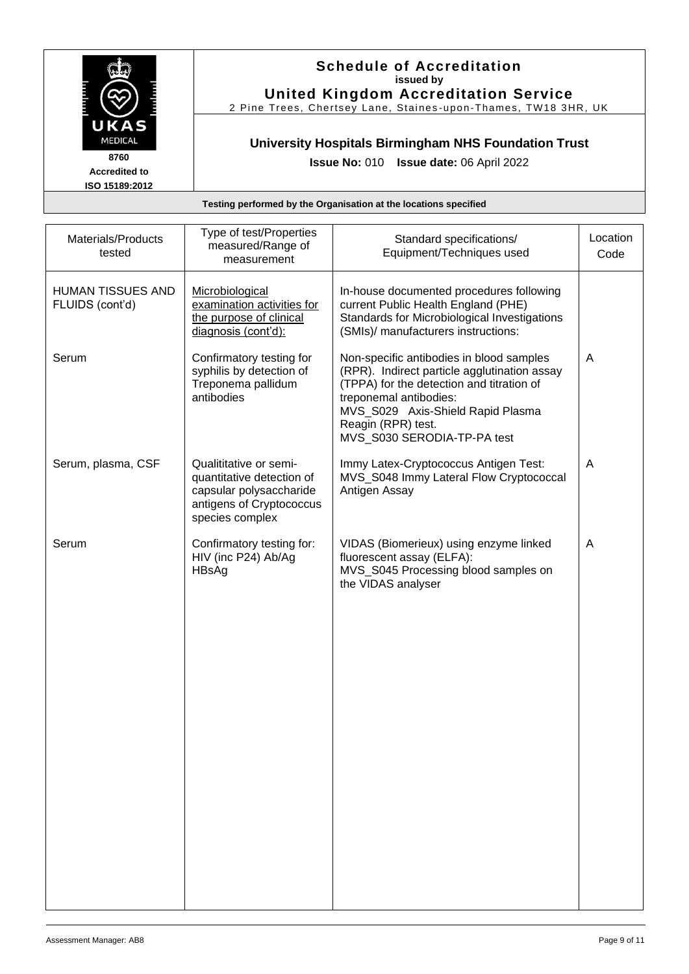

#### **Schedule of Accreditation issued by United Kingdom Accreditation Service**

2 Pine Trees, Chertsey Lane, Staines -upon -Thames, TW18 3HR, UK

## **University Hospitals Birmingham NHS Foundation Trust**

**Issue No:** 010 **Issue date:** 06 April 2022

| Materials/Products<br>tested                | Type of test/Properties<br>measured/Range of<br>measurement                                                                   | Standard specifications/<br>Equipment/Techniques used                                                                                                                                                                                                     | Location<br>Code |
|---------------------------------------------|-------------------------------------------------------------------------------------------------------------------------------|-----------------------------------------------------------------------------------------------------------------------------------------------------------------------------------------------------------------------------------------------------------|------------------|
| <b>HUMAN TISSUES AND</b><br>FLUIDS (cont'd) | Microbiological<br>examination activities for<br>the purpose of clinical<br>diagnosis (cont'd):                               | In-house documented procedures following<br>current Public Health England (PHE)<br>Standards for Microbiological Investigations<br>(SMIs)/ manufacturers instructions:                                                                                    |                  |
| Serum                                       | Confirmatory testing for<br>syphilis by detection of<br>Treponema pallidum<br>antibodies                                      | Non-specific antibodies in blood samples<br>(RPR). Indirect particle agglutination assay<br>(TPPA) for the detection and titration of<br>treponemal antibodies:<br>MVS_S029 Axis-Shield Rapid Plasma<br>Reagin (RPR) test.<br>MVS_S030 SERODIA-TP-PA test | A                |
| Serum, plasma, CSF                          | Qualititative or semi-<br>quantitative detection of<br>capsular polysaccharide<br>antigens of Cryptococcus<br>species complex | Immy Latex-Cryptococcus Antigen Test:<br>MVS_S048 Immy Lateral Flow Cryptococcal<br>Antigen Assay                                                                                                                                                         | A                |
| Serum                                       | Confirmatory testing for:<br>HIV (inc P24) Ab/Ag<br>HBsAg                                                                     | VIDAS (Biomerieux) using enzyme linked<br>fluorescent assay (ELFA):<br>MVS_S045 Processing blood samples on<br>the VIDAS analyser                                                                                                                         | A                |
|                                             |                                                                                                                               |                                                                                                                                                                                                                                                           |                  |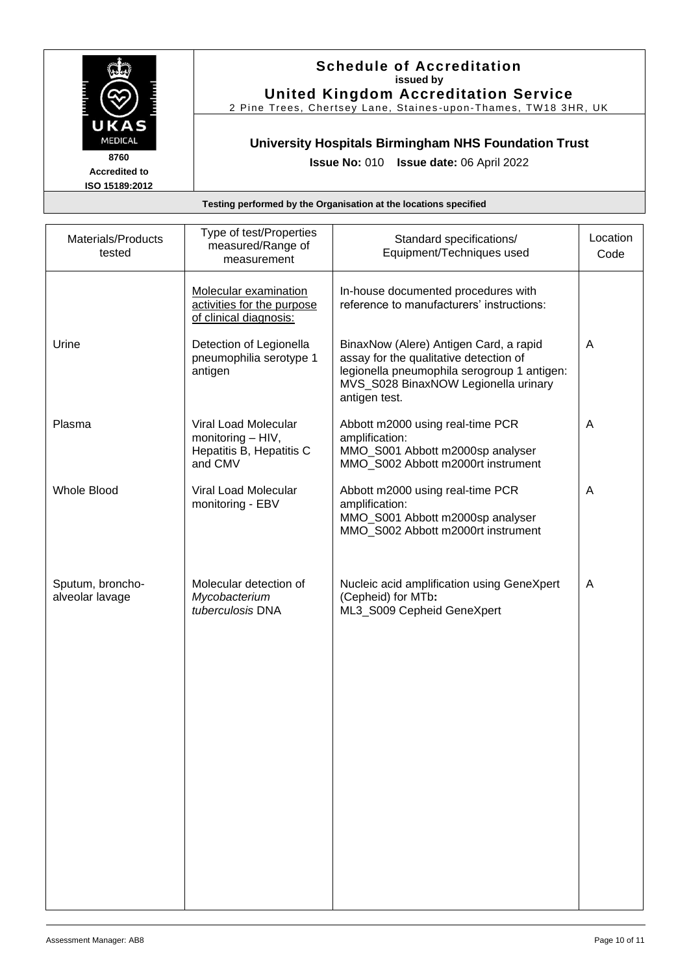

**8760**

**Accredited to ISO 15189:2012**

#### **Schedule of Accreditation issued by United Kingdom Accreditation Service**

2 Pine Trees, Chertsey Lane, Staines -upon -Thames, TW18 3HR, UK

## **University Hospitals Birmingham NHS Foundation Trust**

**Issue No:** 010 **Issue date:** 06 April 2022

| Materials/Products<br>tested        | Type of test/Properties<br>measured/Range of<br>measurement                      | Standard specifications/<br>Equipment/Techniques used                                                                                                                                    | Location<br>Code |
|-------------------------------------|----------------------------------------------------------------------------------|------------------------------------------------------------------------------------------------------------------------------------------------------------------------------------------|------------------|
|                                     | Molecular examination<br>activities for the purpose<br>of clinical diagnosis:    | In-house documented procedures with<br>reference to manufacturers' instructions:                                                                                                         |                  |
| Urine                               | Detection of Legionella<br>pneumophilia serotype 1<br>antigen                    | BinaxNow (Alere) Antigen Card, a rapid<br>assay for the qualitative detection of<br>legionella pneumophila serogroup 1 antigen:<br>MVS_S028 BinaxNOW Legionella urinary<br>antigen test. | A                |
| Plasma                              | Viral Load Molecular<br>monitoring - HIV,<br>Hepatitis B, Hepatitis C<br>and CMV | Abbott m2000 using real-time PCR<br>amplification:<br>MMO_S001 Abbott m2000sp analyser<br>MMO_S002 Abbott m2000rt instrument                                                             | A                |
| <b>Whole Blood</b>                  | Viral Load Molecular<br>monitoring - EBV                                         | Abbott m2000 using real-time PCR<br>amplification:<br>MMO_S001 Abbott m2000sp analyser<br>MMO S002 Abbott m2000rt instrument                                                             | A                |
| Sputum, broncho-<br>alveolar lavage | Molecular detection of<br>Mycobacterium<br>tuberculosis DNA                      | Nucleic acid amplification using GeneXpert<br>(Cepheid) for MTb:<br>ML3_S009 Cepheid GeneXpert                                                                                           | A                |